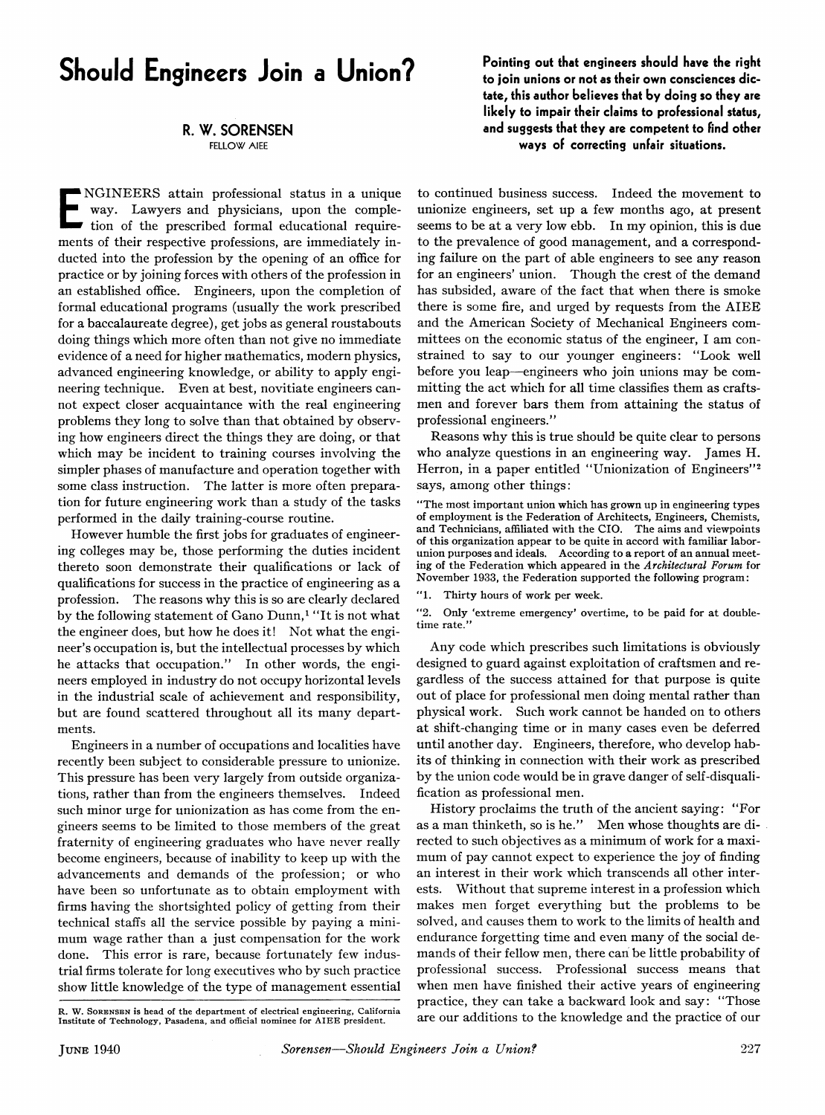## **Should Engineers Join a Union?**

## **R. W. SORENSEN**

**FELLOW AIEE** 

way. Lawyers and physicians, upon the comple-<br>tion of the prescribed formal educational require-NGINEERS attain professional status in a unique way. Lawyers and physicians, upon the complements of their respective professions, are immediately inducted into the profession by the opening of an office for practice or by joining forces with others of the profession in an established office. Engineers, upon the completion of formal educational programs (usually the work prescribed for a baccalaureate degree), get jobs as general roustabouts doing things which more often than not give no immediate evidence of a need for higher mathematics, modern physics, advanced engineering knowledge, or ability to apply engineering technique. Even at best, novitiate engineers cannot expect closer acquaintance with the real engineering problems they long to solve than that obtained by observing how engineers direct the things they are doing, or that which may be incident to training courses involving the simpler phases of manufacture and operation together with some class instruction. The latter is more often preparation for future engineering work than a study of the tasks performed in the daily training-course routine.

However humble the first jobs for graduates of engineering colleges may be, those performing the duties incident thereto soon demonstrate their qualifications or lack of qualifications for success in the practice of engineering as a profession. The reasons why this is so are clearly declared by the following statement of Gano Dunn,<sup>1</sup> "It is not what the engineer does, but how he does it! Not what the engineer's occupation is, but the intellectual processes by which he attacks that occupation.'' In other words, the engineers employed in industry do not occupy horizontal levels in the industrial scale of achievement and responsibility, but are found scattered throughout all its many departments.

Engineers in a number of occupations and localities have recently been subject to considerable pressure to unionize. This pressure has been very largely from outside organizations, rather than from the engineers themselves. Indeed such minor urge for unionization as has come from the engineers seems to be limited to those members of the great fraternity of engineering graduates who have never really become engineers, because of inability to keep up with the advancements and demands of the profession; or who have been so unfortunate as to obtain employment with firms having the shortsighted policy of getting from their technical staffs all the service possible by paying a minimum wage rather than a just compensation for the work done. This error is rare, because fortunately few industrial firms tolerate for long executives who by such practice show little knowledge of the type of management essential **Pointing out that engineers should have the right to join unions or not as their own consciences dictate, this author believes that by doing so they are likely to impair their claims to professional status, and suggests that they are competent to find other ways of correcting unfair situations.** 

to continued business success. Indeed the movement to unionize engineers, set up a few months ago, at present seems to be at a very low ebb. In my opinion, this is due to the prevalence of good management, and a corresponding failure on the part of able engineers to see any reason for an engineers' union. Though the crest of the demand has subsided, aware of the fact that when there is smoke there is some fire, and urged by requests from the AIEE and the American Society of Mechanical Engineers committees on the economic status of the engineer, I am constrained to say to our younger engineers: "Look well before you leap—engineers who join unions may be committing the act which for all time classifies them as craftsmen and forever bars them from attaining the status of professional engineers."

Reasons why this is true should be quite clear to persons who analyze questions in an engineering way. James H. Herron, in a paper entitled "Unionization of Engineers"<sup>2</sup> says, among other things:

"The most important union which has grown up in engineering types of employment is the Federation of Architects, Engineers, Chemists, and Technicians, affiliated with the CIO. The aims and viewpoints of this organization appear to be quite in accord with familiar laborunion purposes and ideals. According to a report of an annual meeting of the Federation which appeared in the *Architectural Forum* for November 1933, the Federation supported the following program:

"1. Thirty hours of work per week.

"2. Only 'extreme emergency' overtime, to be paid for at doubletime rate.'

Any code which prescribes such limitations is obviously designed to guard against exploitation of craftsmen and regardless of the success attained for that purpose is quite out of place for professional men doing mental rather than physical work. Such work cannot be handed on to others at shift-changing time or in many cases even be deferred until another day. Engineers, therefore, who develop habits of thinking in connection with their work as prescribed by the union code would be in grave danger of self-disqualification as professional men.

History proclaims the truth of the ancient saying: "For as a man thinketh, so is he." Men whose thoughts are directed to such objectives as a minimum of work for a maximum of pay cannot expect to experience the joy of finding an interest in their work which transcends all other interests. Without that supreme interest in a profession which makes men forget everything but the problems to be solved, and causes them to work to the limits of health and endurance forgetting time and even many of the social demands of their fellow men, there can be little probability of professional success. Professional success means that when men have finished their active years of engineering practice, they can take a backward look and say: "Those are our additions to the knowledge and the practice of our

R. W. SORENSBN is head of the department of electrical engineering, California Institute of Technology, Pasadena, and official nominee for AIEE president.